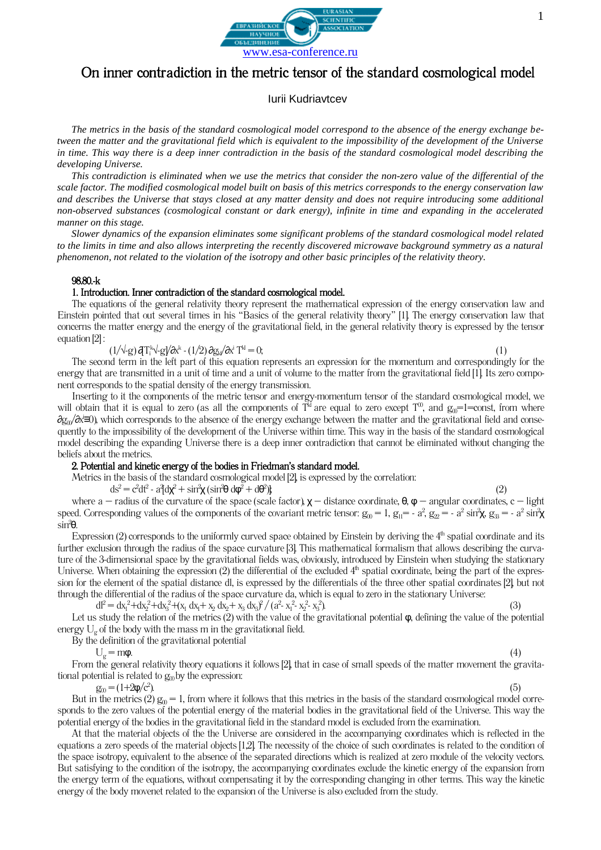

# On inner contradiction in the metric tensor of the standard cosmological model

Iurii Kudriavtcev

*The metrics in the basis of the standard cosmological model correspond to the absence of the energy exchange between the matter and the gravitational field which is equivalent to the impossibility of the development of the Universe*  in time. This way there is a deep inner contradiction in the basis of the standard cosmological model describing the *developing Universe.*

*This contradiction is eliminated when we use the metrics that consider the non-zero value of the differential of the scale factor. The modified cosmological model built on basis of this metrics corresponds to the energy conservation law and describes the Universe that stays closed at any matter density and does not require introducing some additional non-observed substances (cosmological constant or dark energy), infinite in time and expanding in the accelerated manner on this stage.*

*Slower dynamics of the expansion eliminates some significant problems of the standard cosmological model related to the limits in time and also allows interpreting the recently discovered microwave background symmetry as a natural phenomenon, not related to the violation of the isotropy and other basic principles of the relativity theory.*

### 98.80.-k

#### 1. Introduction. Inner contradiction of the standard cosmological model.

The equations of the general relativity theory represent the mathematical expression of the energy conservation law and Einstein pointed that out several times in his "Basics of the general relativity theory" [1]. The energy conservation law that concerns the matter energy and the energy of the gravitational field, in the general relativity theory is expressed by the tensor equation [2] :

 $(1/\sqrt{\cdot}g)\,\boldsymbol{\partial} T^\mathrm{k}_\mathrm{i}\sqrt{\cdot}g\boldsymbol{\partial} \alpha^\mathrm{k}$  -  $(1/2)\,\boldsymbol{\partial} g_\mathrm{k\it{i}}\boldsymbol{\partial} \alpha^\mathrm{i}\,T$  $k^d = 0;$  (1)

The second term in the left part of this equation represents an expression for the momentum and correspondingly for the energy that are transmitted in a unit of time and a unit of volume to the matter from the gravitational field [1]. Its zero component corresponds to the spatial density of the energy transmission.

Inserting to it the components of the metric tensor and energy-momentum tensor of the standard cosmological model, we will obtain that it is equal to zero (as all the components of  $T^{\text{M}}$  are equal to zero except  $T^{\text{0}}$ , and  $g_{0}$ =1=const, from where ∂g<sub>0</sub>/∂x'≡0), which corresponds to the absence of the energy exchange between the matter and the gravitational field and consequently to the impossibility of the development of the Universe within time. This way in the basis of the standard cosmological model describing the expanding Universe there is a deep inner contradiction that cannot be eliminated without changing the beliefs about the metrics.

# 2. Potential and kinetic energy of the bodies in Friedman's standard model.

Metrics in the basis of the standard cosmological model [2], is expressed by the correlation:

 $ds^2 = c^2 dt^2 - a^2 dx^2 + \sin^2\chi (\sin^2\theta d\phi^2 + d\theta^2)$  $\{2\}$ 

where a – radius of the curvature of the space (scale factor),  $\chi$  – distance coordinate,  $\theta$ ,  $\varphi$  – angular coordinates, c – light speed. Corresponding values of the components of the covariant metric tensor:  $g_0 = 1$ ,  $g_{11} = -a^2$ ,  $g_{22} = -a^2 \sin^2\chi$ ,  $g_{33} = -a^2 \sin^2\chi$ sin<sup>2</sup>θ.

Expression (2) corresponds to the uniformly curved space obtained by Einstein by deriving the  $4<sup>th</sup>$  spatial coordinate and its further exclusion through the radius of the space curvature [3]. This mathematical formalism that allows describing the curvature of the 3-dimensional space by the gravitational fields was, obviously, introduced by Einstein when studying the stationary Universe. When obtaining the expression (2) the differential of the excluded  $4<sup>th</sup>$  spatial coordinate, being the part of the expression for the element of the spatial distance dl, is expressed by the differentials of the three other spatial coordinates [2], but not through the differential of the radius of the space curvature da, which is equal to zero in the stationary Universe:

 $dl^2 = dx_1^2 + dx_2^2 + dx_3^2 + (x_1 dx_1 + x_2 dx_2 + x_3 dx_3)^2 / (a^2 - x_1^2 - x_2^2 - x_3^2)$  $\hspace{1.6cm} (3)$ 

Let us study the relation of the metrics (2) with the value of the gravitational potential  $\varphi$ , defining the value of the potential energy  $U_{\varphi}$  of the body with the mass m in the gravitational field.

By the definition of the gravitational potential

 $U_g = m\phi.$  (4)

From the general relativity theory equations it follows [2], that in case of small speeds of the matter movement the gravitational potential is related to  $g_0$  by the expression:

 $g_{00} = (1+2\phi/c^2)$ .

 $\hspace{1.6cm}$ (5). (5) But in the metrics (2)  $g_0 = 1$ , from where it follows that this metrics in the basis of the standard cosmological model corresponds to the zero values of the potential energy of the material bodies in the gravitational field of the Universe. This way the potential energy of the bodies in the gravitational field in the standard model is excluded from the examination.

At that the material objects of the the Universe are considered in the accompanying coordinates which is reflected in the equations a zero speeds of the material objects [1,2]. The necessity of the choice of such coordinates is related to the condition of the space isotropy, equivalent to the absence of the separated directions which is realized at zero module of the velocity vectors. But satisfying to the condition of the isotropy, the accompanying coordinates exclude the kinetic energy of the expansion from the energy term of the equations, without compensating it by the corresponding changing in other terms. This way the kinetic energy of the body movenet related to the expansion of the Universe is also excluded from the study.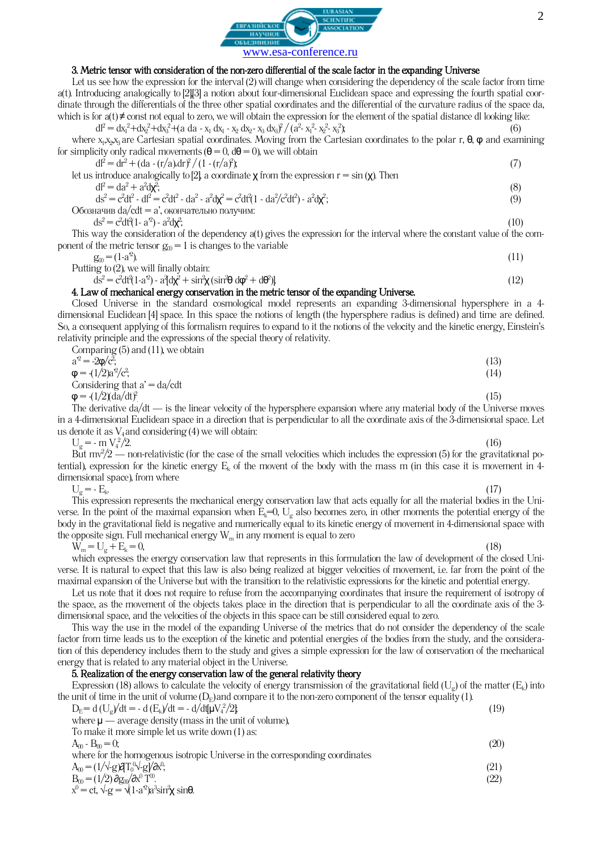

### 3. Metric tensor with consideration of the non-zero differential of the scale factor in the expanding Universe

Let us see how the expression for the interval (2) will change when considering the dependency of the scale factor from time a(t). Introducing analogically to [2],[3] a notion about four-dimensional Euclidean space and expressing the fourth spatial coordinate through the differentials of the three other spatial coordinates and the differential of the curvature radius of the space da, which is for  $a(t) \neq$  const not equal to zero, we will obtain the expression for the element of the spatial distance dl looking like:

 $dl^2 = dx_1^2 + dx_2^2 + dx_3^2 + (a da - x_1 dx_1 - x_2 dx_2 - x_3 dx_3)^2 / (a^2 - x_1^2 - x_2^2 - x_3^2)$  $\hat{b}$ ; (6) where  $x_1, x_2, x_3$  are Cartesian spatial coordinates. Moving from the Cartesian coordinates to the polar r,  $\theta$ ,  $\phi$  and examining for simplicity only radical movements  $(\theta = 0, d\theta = 0)$ , we will obtain

| $dl^2 = dr^2 + (da - (r/a) d r^2 / (1 - (r/a)^2))$                                                                  |     |
|---------------------------------------------------------------------------------------------------------------------|-----|
| let us introduce analogically to [2], a coordinate $\chi$ from the expression $r = \sin(\chi)$ . Then               |     |
| $dl^2 = da^2 + a^2 d\mathbf{x}^2$                                                                                   | (8) |
| $ds^2 = c^2 dt^2 - dl^2 = c^2 dt^2 - da^2 - a^2 d\mathbf{x}^2 = c^2 dt^2 (1 - da^2/c^2 dt^2) - a^2 d\mathbf{x}^2$ ; | (9) |
| Обозначив da/cdt = а', окончательно получим:                                                                        |     |

 $ds^2 = c^2 dt^2 (1 - a^2) - a^2 d\mathbf{x}^2$ 

;  $(10)$ This way the consideration of the dependency a(t) gives the expression for the interval where the constant value of the component of the metric tensor  $g_0 = 1$  is changes to the variable

$$
g_{00} = (1-a^2).
$$

 $\hspace{1.6cm}$ (11) Putting to (2), we will finally obtain:

$$
ds^{2} = c^{2}dt^{2}(1-a^{2}) - a^{2}dx^{2} + sin^{2}\chi (sin^{2}\theta d\phi^{2} + d\theta^{2})
$$
\n(12)

### 4. Law of mechanical energy conservation in the metric tensor of the expanding Universe.

Closed Universe in the standard cosmological model represents an expanding 3-dimensional hypersphere in a 4 dimensional Euclidean [4] space. In this space the notions of length (the hypersphere radius is defined) and time are defined. So, a consequent applying of this formalism requires to expand to it the notions of the velocity and the kinetic energy, Einstein's relativity principle and the expressions of the special theory of relativity.  $\lim_{\alpha \to 0} \left( 5 \right)$  and (11), we obtain

| Comparing (5) and (11), we obtain |      |
|-----------------------------------|------|
| $a^2 = -2\phi/c^2$ ;              | (13) |
| $\varphi = (1/2)a^2/c^2$          | (14) |
| Considering that $a' = da/cdt$    |      |
| $\phi = (1/2)(da/dt)^2$           | (15) |

. The derivative da/dt — is the linear velocity of the hypersphere expansion where any material body of the Universe moves in a 4-dimensional Euclidean space in a direction that is perpendicular to all the coordinate axis of the 3-dimensional space. Let us denote it as  $V_4$  and considering (4) we will obtain:

 $U_{\varphi} = -m V_4^2/2$ .  $^{2}/2$ . (16) But  $mv^2/2$  — non-relativistic (for the case of the small velocities which includes the expression (5) for the gravitational potential), expression for the kinetic energy  $E_k$  of the movent of the body with the mass m (in this case it is movement in 4dimensional space), from where

$$
U_g = -E_k
$$

.  $(17)$ This expression represents the mechanical energy conservation law that acts equally for all the material bodies in the Universe. In the point of the maximal expansion when  $E_k=0$ ,  $U_{\varphi}$  also becomes zero, in other moments the potential energy of the body in the gravitational field is negative and numerically equal to its kinetic energy of movement in 4-dimensional space with the opposite sign. Full mechanical energy  $W_m$  in any moment is equal to zero

 $W_m = U_c + E_k = 0,$  (18)

which expresses the energy conservation law that represents in this formulation the law of development of the closed Universe. It is natural to expect that this law is also being realized at bigger velocities of movement, i.e. far from the point of the maximal expansion of the Universe but with the transition to the relativistic expressions for the kinetic and potential energy.

Let us note that it does not require to refuse from the accompanying coordinates that insure the requirement of isotropy of the space, as the movement of the objects takes place in the direction that is perpendicular to all the coordinate axis of the 3 dimensional space, and the velocities of the objects in this space can be still considered equal to zero.

This way the use in the model of the expanding Universe of the metrics that do not consider the dependency of the scale factor from time leads us to the exception of the kinetic and potential energies of the bodies from the study, and the consideration of this dependency includes them to the study and gives a simple expression for the law of conservation of the mechanical energy that is related to any material object in the Universe.

# 5. Realization of the energy conservation law of the general relativity theory

Expression (18) allows to calculate the velocity of energy transmission of the gravitational field ( $U_g$ ) of the matter ( $E_k$ ) into the unit of time in the unit of volume  $(D_E)$  and compare it to the non-zero component of the tensor equality (1).

| $D_{\rm E} = d(U_{\rm o}/dt = -d(E_{\rm k})/dt = -d/dt[\mu V_{\rm 4}^2/2]$ ; | 19)  |
|------------------------------------------------------------------------------|------|
| where $\mu$ — average density (mass in the unit of volume),                  |      |
| To make it more simple let us write down (1) as:                             |      |
| $A_m - B_m = 0$ ;                                                            | (20) |
| where for the homogenous isotropic Universe in the corresponding coordinates |      |
| $A_{\rm m} = (1/\sqrt{g}) \partial T_0^0 \sqrt{g} \partial x^0$ ;            | (21) |
| $B_m = (1/2) \partial g_m / \partial x^0 T^0$ .                              | (22) |
| $x^0 = ct$ , $\sqrt{g} = \sqrt{(1-a^2)a^3} \sin^2\!\chi \sin\theta$ .        |      |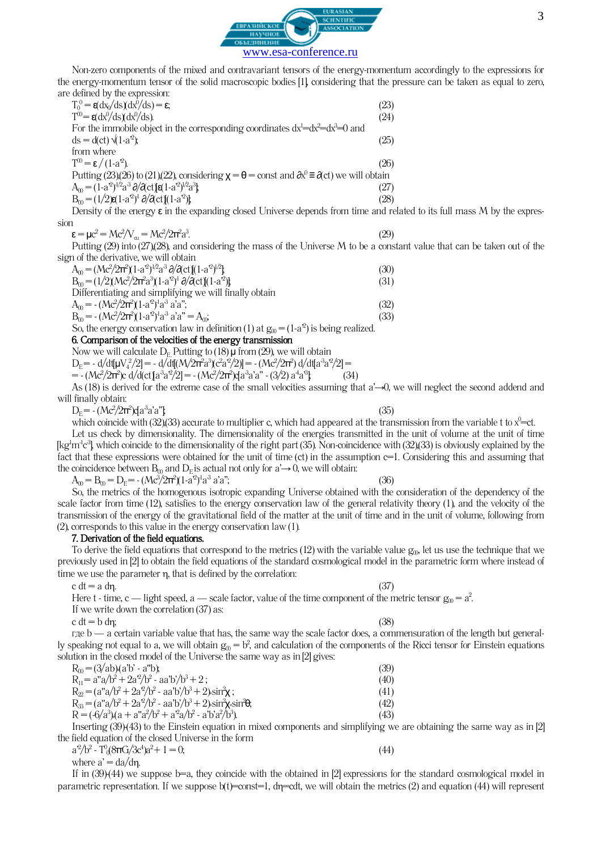

Non-zero components of the mixed and contravariant tensors of the energy-momentum accordingly to the expressions for the energy-momentum tensor of the solid macroscopic bodies [1], considering that the pressure can be taken as equal to zero, are defined by the expression:

| c acimica by are alphabetan                                                                                             |      |
|-------------------------------------------------------------------------------------------------------------------------|------|
| $T_0^0 = g \frac{dx}{ds} \frac{dx^0}{ds} = \epsilon$ ;                                                                  | (23) |
| $T^{00} = \mathbf{g} \left( \frac{dx^{0}}{ds} \right) \left( \frac{dx^{0}}{ds} \right).$                                | (24) |
| For the immobile object in the corresponding coordinates $dx^1 = dx^2 = dx^3 = 0$ and                                   |      |
| $ds = d(ct) \sqrt{1-a^2}$ ;                                                                                             | (25) |
| from where                                                                                                              |      |
| $T^{00} = \varepsilon / (1-a^2)$ .                                                                                      | (26) |
| Putting (23)(26) to (21)(22), considering $\chi = \theta = \text{const}$ and $\partial x^0 = \partial c$ we will obtain |      |
| $A_0 = (1-a^2)^{1/2}a^3 \partial/\partial ct) \epsilon (1-a^2)^{1/2}a^3$                                                | (27) |
| $B_{0} = (1/2) \epsilon (1-a^{2})^{1} \partial/\partial ct [(1-a^{2})]$                                                 | (28) |
| Deposity of the energy $\epsilon$ in the expanding closed Universe depends from time and related                        |      |

of the energy  $\varepsilon$  in the expanding closed Universe depends from time and related to its full mass M by the expression

$$
\varepsilon = \mu c^2 = Mc^2/V_{\alpha i} = Mc^2/2\pi^2 a^3.
$$

.  $(29)$ Putting (29) into (27),(28), and considering the mass of the Universe M to be a constant value that can be taken out of the sign of the derivative, we will obtain

| $A_0 = (Mc^2/2\pi^2)(1-a^2)^{1/2}a^3 \partial/\partial ct [(1-a^2)^{1/2}]$              | (30) |
|-----------------------------------------------------------------------------------------|------|
| $B_m = (1/2)(Mc^2/2\pi^2a^3)(1-a^2)^1\partial/\partial ct[(1-a^2)]$                     | (31) |
| Differentiating and simplifying we will finally obtain                                  |      |
| $A_m = -(Mc^2/2\pi^2)(1-a^2)^1a^3 a^3 a^3;$                                             | (32) |
| $B_m = -(Mc^2/2\pi^2)(1-a^2)^1a^3 a'a'' = A_m$ ;                                        | (33) |
| So, the energy conservation law in definition (1) at $g_0 = (1-a^2)$ is being realized. |      |

# 6. Comparison of the velocities of the energy transmission

Now we will calculate  $D_E$  Putting to (18)  $\mu$  from (29), we will obtain

 $D_E$ = - d/dt[μV<sub>4</sub><sup>2</sup>/2] = - d/dt[(M/2π<sup>2</sup>a<sup>3</sup>)(c<sup>2</sup>a<sup>2</sup>/2)] = - (Mc<sup>2</sup>/2π<sup>2</sup>) d/dt[a<sup>3</sup>a<sup>2</sup>/2] =  $(34)$ 

$$
=-(Mc^{2}/2\pi^{2})c d/d(ct)[a^{3}a^{2}/2]=-(Mc^{2}/2\pi^{2})d^{3}a^{3}a^{3}-(3/2)a^{4}a^{3}\}
$$

As (18) is derived for the extreme case of the small velocities assuming that a'→0, we will neglect the second addend and will finally obtain:

 $D_E = -(Mc^2/2\pi^2)q a^3 a^3 a^{\prime\prime}$ ; (35)

which coincide with (32),(33) accurate to multiplier c, which had appeared at the transmission from the variable t to x $\degree$ =ct. Let us check by dimensionality. The dimensionality of the energies transmitted in the unit of volume at the unit of time [kg<sup>1</sup>m<sup>1</sup>c<sup>3</sup>], which coincide to the dimensionality of the right part (35). Non-coincidence with (32),(33) is obviously explained by the fact that these expressions were obtained for the unit of time (ct) in the assumption  $c=1$ . Considering this and assuming that the coincidence between  $B_0$  and  $D_E$  is actual not only for a' $\rightarrow$ 0, we will obtain:

 $A_{00} = B_{00} = D_{E} = -(Mc^{3}/2\pi^{2})(1-a^{2})^{1}a^{3} a^{3}a^{3};$  (36) So, the metrics of the homogenous isotropic expanding Universe obtained with the consideration of the dependency of the scale factor from time  $(12)$ , satisfies to the energy conservation law of the general relativity theory  $(1)$ , and the velocity of the transmission of the energy of the gravitational field of the matter at the unit of time and in the unit of volume, following from (2), corresponds to this value in the energy conservation law (1).

# 7. Derivation of the field equations.

To derive the field equations that correspond to the metrics (12) with the variable value  $g_{0}$ , let us use the technique that we previously used in [2] to obtain the field equations of the standard cosmological model in the parametric form where instead of time we use the parameter  $\eta$ , that is defined by the correlation:

$$
c \, dt = a \, d\eta. \tag{37}
$$

Here t - time, c — light speed, a — scale factor, value of the time component of the metric tensor  $g_0 = a^2$ .

If we write down the correlation (37) as:

 $c \, dt = b \, dm;$  (38)

где b — a certain variable value that has, the same way the scale factor does, a commensuration of the length but generally speaking not equal to a, we will obtain  $g_0 = b^2$ , and calculation of the components of the Ricci tensor for Einstein equations solution in the closed model of the Universe the same way as in [2] gives:

| $R_m = (3/ab)(a'b' - a'b)$ ;                                                                | (39) |
|---------------------------------------------------------------------------------------------|------|
| $R_{\rm u} = a''a/b^2 + 2a'^2/b^2 - aa'b'/b^3 + 2$ ;                                        | (40) |
| $R_{\infty} = (a''a/b^2 + 2a'^2/b^2 - aa'b'/b^3 + 2) \sin^2\!\chi$ ;                        | (41) |
| $R_{33} = (a''a/b^2 + 2a^2/b^2 - aa'b'/b^3 + 2) \sin^2\theta$ ; sin <sup>2</sup> $\theta$ ; | (42) |
| $R = (-6/a^3)(a + a^2a^2/b^2 + a^2a/b^2 - a'b^2a^2/b^3)$ .                                  | (43) |

Inserting  $(39)(43)$  to the Einstein equation in mixed components and simplifying we are obtaining the same way as in [2] the field equation of the closed Universe in the form

$$
a^{2}/b^{2} - T^{0}(8\pi G/3c^{4})a^{2} + 1 = 0,
$$
\n(44)

where 
$$
a' = da/d\eta
$$
.

If in  $(39)(44)$  we suppose b=a, they coincide with the obtained in  $[2]$  expressions for the standard cosmological model in parametric representation. If we suppose  $b(t)$ =const=1, d $n$ =cdt, we will obtain the metrics (2) and equation (44) will represent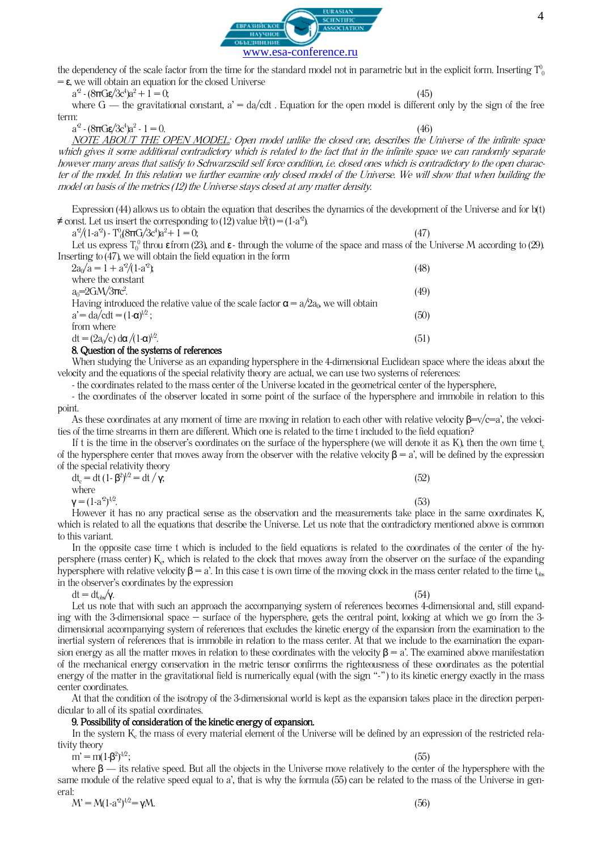



the dependency of the scale factor from the time for the standard model not in parametric but in the explicit form. Inserting  $\rm T_{0}^{0}$  $= \epsilon$ , we will obtain an equation for the closed Universe

 $a^2 - (8\pi G \epsilon/3c^4)a^2 + 1 = 0;$  (45)

where  $G$  — the gravitational constant,  $a' = da/cdt$ . Equation for the open model is different only by the sign of the free term:

 $a^2$  - (8πGε/3 $c^4$ ) $a^2$ 

 $-1 = 0.$  (46) NOTE ABOUT THE OPEN MODEL: Open model unlike the closed one, describes the Universe of the infinite space which gives it some additional contradictory which is related to the fact that in the infinite space we can randomly separate however many areas that satisfy to Schwarzscild self force condition, i.e. closed ones which is contradictory to the open character of the model. In this relation we further examine only closed model of the Universe. We will show that when building the model on basis of the metrics (12) the Universe stays closed at any matter density.

Expression (44) allows us to obtain the equation that describes the dynamics of the development of the Universe and for b(t) ≠ const. Let us insert the corresponding to (12) value b<sup>2</sup>(t) = (1-a<sup>2</sup>).

 $a^2/(1-a^2)$  -  $T_0^0(8\pi G/3c^4)a^2 + 1 = 0;$  (47)

Let us express  $T_0^0$  throu  $\epsilon$  from (23), and  $\epsilon$ -through the volume of the space and mass of the Universe M according to (29). Inserting to (47), we will obtain the field equation in the form

| $2a0/a = 1 + a2/(1-a2)$ ;                                                                   | (48) |
|---------------------------------------------------------------------------------------------|------|
| where the constant                                                                          |      |
| $a_0 = 2GM/3\pi c^2$ .                                                                      | (49) |
| Having introduced the relative value of the scale factor $\alpha = a/2a_0$ , we will obtain |      |
| $a' = da/cdt = (1-a)^{1/2}$ ;                                                               | (50) |
| from where                                                                                  |      |
| $dt = (2a_0/c) d\alpha / (1-\alpha)^{1/2}$ .                                                | (51) |
|                                                                                             |      |

### 8. Question of the systems of references

When studying the Universe as an expanding hypersphere in the 4-dimensional Euclidean space where the ideas about the velocity and the equations of the special relativity theory are actual, we can use two systems of references:

-the coordinates related to the mass center of the Universe located in the geometrical center of the hypersphere,

- the coordinates of the observer located in some point of the surface of the hypersphere and immobile in relation to this point.

As these coordinates at any moment of time are moving in relation to each other with relative velocity  $\beta = v/c = a'$ , the velocities of the time streams in them are different. Which one is related to the time t included to the field equation?

If t is the time in the observer's coordinates on the surface of the hypersphere (we will denote it as K), then the own time  $t_c$ of the hypersphere center that moves away from the observer with the relative velocity  $\beta = a'$ , will be defined by the expression of the special relativity theory

| $dt_c = dt (1 - \beta^2)^{1/2} = dt / \gamma$ ; |  |  | (52)           |
|-------------------------------------------------|--|--|----------------|
| where                                           |  |  |                |
| $\mathsf{y} = (1-a^2)^{1/2}.$                   |  |  | (53)<br>______ |

However it has no any practical sense as the observation and the measurements take place in the same coordinates K, which is related to all the equations that describe the Universe. Let us note that the contradictory mentioned above is common to this variant.

In the opposite case time t which is included to the field equations is related to the coordinates of the center of the hypersphere (mass center) K<sub>c</sub>, which is related to the clock that moves away from the observer on the surface of the expanding hypersphere with relative velocity  $\beta = a'$ . In this case t is own time of the moving clock in the mass center related to the time t<sub>obs</sub> in the observer's coordinates by the expression

 $dt = dt_{\text{dw}} / \gamma.$  (54)

Let us note that with such an approach the accompanying system of references becomes 4-dimensional and, still expanding with the 3-dimensional space – surface of the hypersphere, gets the central point, looking at which we go from the 3 dimensional accompanying system of references that excludes the kinetic energy of the expansion from the examination to the inertial system of references that is immobile in relation to the mass center. At that we include to the examination the expansion energy as all the matter moves in relation to these coordinates with the velocity  $\beta = a'$ . The examined above manifestation of the mechanical energy conservation in the metric tensor confirms the righteousness of these coordinates as the potential energy of the matter in the gravitational field is numerically equal (with the sign "-") to its kinetic energy exactly in the mass center coordinates.

At that the condition of the isotropy of the 3-dimensional world is kept as the expansion takes place in the direction perpendicular to all of its spatial coordinates.

# 9. Possibility of consideration of the kinetic energy of expansion.

In the system  $K_c$  the mass of every material element of the Universe will be defined by an expression of the restricted relativity theory

 $m' = m(1-β^2)$ 

 $-1^{1/2}$ ; (55) where  $\beta$  — its relative speed. But all the objects in the Universe move relatively to the center of the hypersphere with the same module of the relative speed equal to a', that is why the formula (55) can be related to the mass of the Universe in general:

 $M' = M(1-a^2)$  $\gamma^{1/2} = \gamma M.$  (56)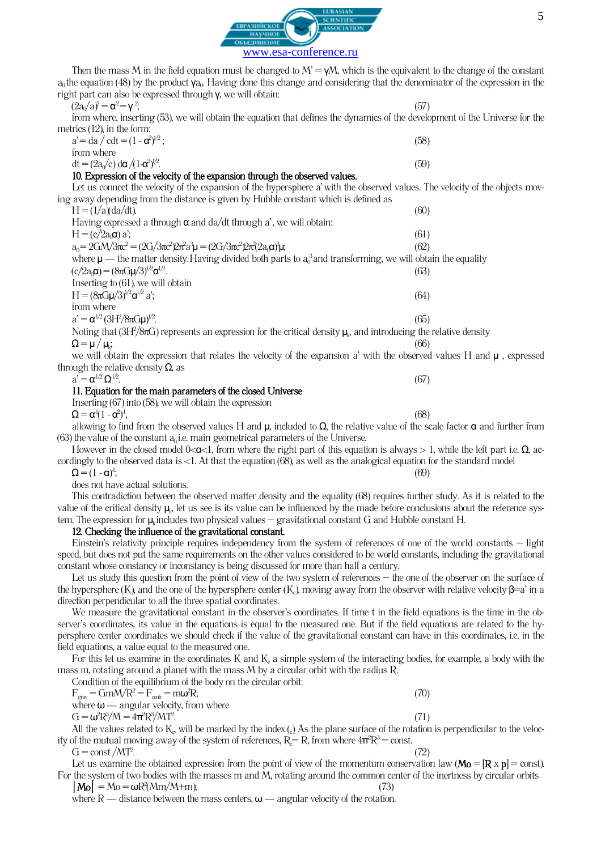

www.esa-conference.ru

SCIENTIFIC

Then the mass M in the field equation must be changed to  $M' = \gamma M$ , which is the equivalent to the change of the constant  $a_0$ the equation (48) by the product  $\gamma a_0$ . Having done this change and considering that the denominator of the expression in the right part can also be expressed through γ, we will obtain:

 $(2a_0/a)^2 = \alpha^2 = \gamma^2$ 

| $(2a0/a)^2 = \alpha^2 = \gamma^2$ | (57                                                                                                                          |
|-----------------------------------|------------------------------------------------------------------------------------------------------------------------------|
|                                   | from where, inserting (53), we will obtain the equation that defines the dynamics of the development of the Universe for the |
| metrics (12), in the form:        |                                                                                                                              |
|                                   |                                                                                                                              |

| $a' = da / cdt = (1 - \alpha^2)^{1/2}$ ;         | (58) |
|--------------------------------------------------|------|
| from where                                       |      |
| $dt = (2a_0/c) d\alpha / (1 - \alpha^2)^{1/2}$ . | (59) |

# 10. Expression of the velocity of the expansion through the observed values.

Let us connect the velocity of the expansion of the hypersphere a'with the observed values. The velocity of the objects moving away depending from the distance is given by Hubble constant which is defined as  $H = (1/a)(da/dt)$ . (60)

| Having expressed a through $\alpha$ and da/dt through a', we will obtain:                                                    |      |
|------------------------------------------------------------------------------------------------------------------------------|------|
| $H = (c/2a_0\alpha) a$ ;                                                                                                     | (61) |
| $a_0 = 2GM/3\pi c^2 = (2G/3\pi c^2)2\pi^2 a^3 \mu = (2G/3\pi c^2)2\pi^2 (2a_0\alpha)^3 \mu;$                                 | (62) |
| where $\mu$ — the matter density. Having divided both parts to $a_0^3$ and transforming, we will obtain the equality         |      |
| $(c/2a_0\alpha) = (8\pi G\mu/3)^{1/2}\alpha^{1/2}.$                                                                          | (63) |
| Inserting to $(61)$ , we will obtain                                                                                         |      |
| H = $(8\pi G\mu/3)^{1/2}$ α <sup>1/2</sup> a':                                                                               | (64) |
| from where                                                                                                                   |      |
| $a' = \alpha^{1/2} (3H^2/8\pi G\mu)^{1/2}.$                                                                                  | (65) |
| Noting that $(3H^2/8\pi G)$ represents an expression for the critical density $\mu_k$ , and introducing the relative density |      |
| $\Omega = \mu / \mu_k$ ;                                                                                                     | (66) |

 $(66)$ we will obtain the expression that relates the velocity of the expansion a' with the observed values H and  $\mu$ , expressed through the relative density  $\Omega$ , as

 $a' = \alpha^{1/2} \Omega^{1/2}$ 

### $\frac{1}{2}$ . (67) 11. Equation for the main parameters of the closed Universe

Inserting(67) into (58), we will obtain the expression

 $\Omega = \alpha^1 (1 - \alpha^2)^1$ 

,  $(68)$ allowing to find from the observed values H and  $\mu$ , included to  $\Omega$ , the relative value of the scale factor  $\alpha$  and further from (63) the value of the constant  $a_0$  i.e. main geometrical parameters of the Universe.

However in the closed model 0< $\alpha$ <1, from where the right part of this equation is always > 1, while the left part i.e.  $\Omega$ , accordingly to the observed data is <1. At that the equation (68), as well as the analogical equation for the standard model

 $\Omega = (1 - \alpha)^{1}$ ;  $(69)$ 

does not have actual solutions.

This contradiction between the observed matter density and the equality (68) requires further study. As it is related to the value of the critical density  $\mu_{\scriptscriptstyle\!\omega}$  let us see is its value can be influenced by the made before conclusions about the reference system. The expression for  $\mu_k$  includes two physical values – gravitational constant G and Hubble constant H.

# 12. Checking the influence of the gravitational constant.

Einstein's relativity principle requires independencу from the system of references of one of the world constants – light speed, but does not put the same requirements on the other values considered to be world constants, including the gravitational constant whose constancy or inconstancy is being discussed for more than half a century.

Let us study this question from the point of view of the two system of references – the one of the observer on the surface of the hypersphere (K), and the one of the hypersphere center (K), moving away from the observer with relative velocity  $\beta = a'$  in a direction perpendicular to all the three spatial coordinates.

We measure the gravitational constant in the observer's coordinates. If time t in the field equations is the time in the observer's coordinates, its value in the equations is equal to the measured one. But if the field equations are related to the hypersphere center coordinates we should check if the value of the gravitational constant can have in this coordinates, i.e. in the field equations, a value equal to the measured one.

For this let us examine in the coordinates K and K, a simple system of the interacting bodies, for example, a body with the mass m, rotating around a planet with the mass M by a circular orbit with the radius R.

Condition of the equilibrium of the body on the circular orbit:  $F_{grav} = GmM/R^2 = F_{centr} = m\omega^2R;$  ${}^2R$ ; (70) where  $\omega$  — angular velocity, from where

 $G = \omega^2 R^3 / M = 4π^2 R^3 / MT^2$ 

 $\frac{2}{3}$ . (71) All the values related to  $K_{\sigma}$  will be marked by the index ( $_{\rm c}$ ) As the plane surface of the rotation is perpendicular to the velocity of the mutual moving away of the system of references,  $R_c = R$ , from where  $4\pi^2 R^3 = \text{const.}$ 

 $G = \text{const} / MT^2$ . .  $(72)$ 

Let us examine the obtained expression from the point of view of the momentum conservation law ( $M\omega = [R \times p] = \text{const}$ ). For the system of two bodies with the masses m and M, rotating around the common center of the inertness by circular orbits

 $|M_0| = M_0 = \omega R^2 (Mm/M+m)$ ; (73) where  $R$  — distance between the mass centers,  $\omega$  — angular velocity of the rotation.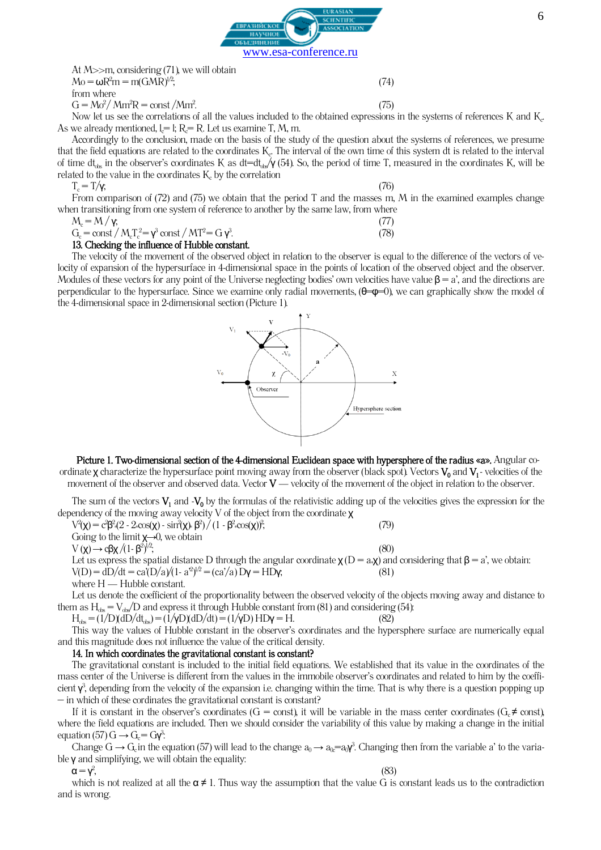

At  $M \gg m$ , considering (71), we will obtain  $M_0 = \omega R^2 m = m(GMR)^{1/2};$  (74) from where

 $G = M\sigma^2/Mm^2R = \text{const }/Mm^2$ .

 $\frac{1}{2}$ . (75) Now let us see the correlations of all the values included to the obtained expressions in the systems of references K and  $K_{\rm e}$ As we already mentioned,  $l =$  l; R $=$  R. Let us examine T, M, m.

Accordingly to the conclusion, made on the basis of the study of the question about the systems of references, we presume that the field equations are related to the coordinates  $\rm K_{c}$  The interval of the own time of this system dt is related to the interval of time  $dt_{\text{obs}}$  in the observer's coordinates K as dt=d $t_{\text{obs}}/$ (54). So, the period of time T, measured in the coordinates K, will be related to the value in the coordinates  $K_c$  by the correlation

$$
T_{\rm c}=T/\gamma;
$$

 $T_c = T/\gamma$ ; (76) From comparison of  $(72)$  and  $(75)$  we obtain that the period T and the masses m, M in the examined examples change when transitioning from one system of reference to another by the same law, from where

$$
M = M/v
$$

$$
M_{\rm c} = M / \gamma, \tag{77}
$$
  
\n
$$
G_{\rm c} = \text{const} / M_{\rm c} T_{\rm c}^2 = \gamma^3 \text{ const} / M T^2 = G \gamma^3.
$$

# 13. Checking the influence of Hubble constant.

The velocity of the movement of the observed object in relation to the observer is equal to the difference of the vectors of velocity of expansion of the hypersurface in 4-dimensional space in the points of location of the observed object and the observer. Modules of these vectors for any point of the Universe neglecting bodies' own velocities have value  $\beta = a'$ , and the directions are perpendicular to the hypersurface. Since we examine only radial movements,  $(\theta = \phi = 0)$ , we can graphically show the model of the 4-dimensional space in 2-dimensional section (Picture 1).



Picture 1. Two-dimensional section of the 4-dimensional Euclidean space with hypersphere of the radius «a». Angular coordinate **χ** characterize the hypersurface point moving away from the observer (black spot). Vectors  $V_0$  and  $V_1$ - velocities of the movement of the observer and observed data. Vector  $V$  — velocity of the movement of the object in relation to the observer.

The sum of the vectors  $V_1$  and  $-V_0$  by the formulas of the relativistic adding up of the velocities gives the expression for the dependency of the moving away velocity V of the object from the coordinate χ

 $V^2(\chi) = c^2\beta^2$  (2 - 2 «cos(χ) - sin<sup>2</sup>(χ)  $\beta^2$ ) / (1 - β<sup>2</sup> «cos(χ))<sup>2</sup> ;  $(79)$ Going to the limit  $\chi \rightarrow 0$ , we obtain  $V(\chi) \rightarrow c\beta\chi/(1-\beta^2)^{1/2};$  (80)

Let us express the spatial distance D through the angular coordinate  $\chi(D = a\cdot\chi)$  and considering that  $\beta = a'$ , we obtain:<br>V(D) = dD/dt = ca'(D/a)/(1- a<sup>2</sup>)<sup>/2</sup> = (ca'/a) D**y** = HD**y**; (81) V(D) = dD/dt = ca'(D/a)/(1- a<sup>2</sup>)<sup> $/2$ </sup> = (ca'/a) D**γ** = HD**γ**; (81) where  $H - H$ ubble constant.

Let us denote the coefficient of the proportionality between the observed velocity of the objects moving away and distance to them as  $H_{ds} = V_{ds}/D$  and express it through Hubble constant from (81) and considering (54):

 $H_{\text{obs}} = (1/D)(dD/dt_{\text{obs}}) = (1/\gamma D)(dD/dt) = (1/\gamma D) H D \gamma = H.$  (82)

This way the values of Hubble constant in the observer's coordinates and the hypersphere surface are numerically equal and this magnitude does not influence the value of the critical density.

# 14. In which coordinates the gravitational constant is constant?

The gravitational constant is included to the initial field equations. We established that its value in the coordinates of the mass center of the Universe is different from the values in the immobile observer's coordinates and related to him by the coefficient  $\gamma^3$ , depending from the velocity of the expansion i.e. changing within the time. That is why there is a question popping up  $-$  in which of these cordinates the gravitational constant is constant?

If it is constant in the observer's coordinates (G = const), it will be variable in the mass center coordinates ( $G_c \neq const$ ), where the field equations are included. Then we should consider the variability of this value by making a change in the initial equation (57)  $G \rightarrow G_c = G \gamma^3$ :

Change  $G \to G_c$  in the equation (57) will lead to the change  $a_0 \to a_0 = a_0 \gamma^2$ . Changing then from the variable a' to the variable  $\gamma$  and simplifying, we will obtain the equality:

 $\alpha = \gamma^2$ 

 $,$  (83) which is not realized at all the  $\alpha \neq 1$ . Thus way the assumption that the value G is constant leads us to the contradiction and is wrong.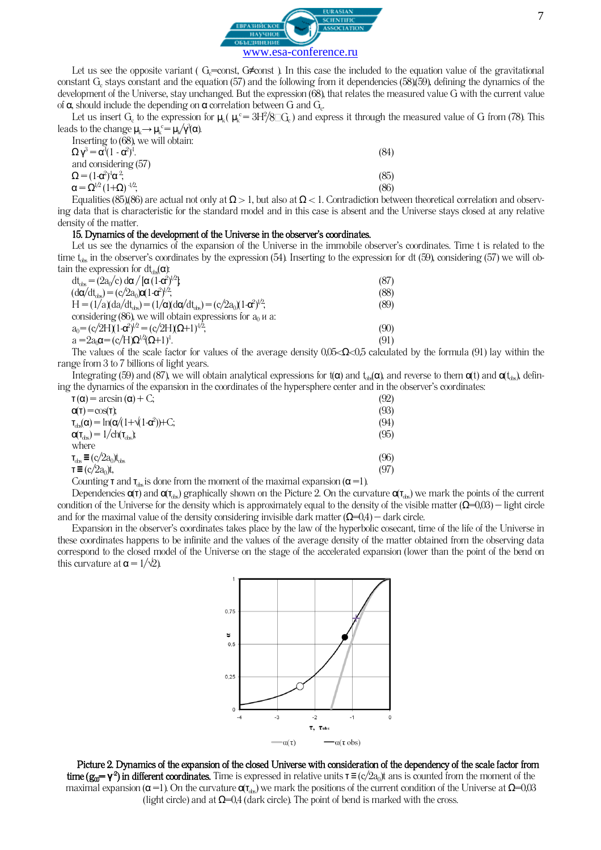

Let us see the opposite variant ( $G<sub>c</sub>=const$ ,  $G\neq const$ ). In this case the included to the equation value of the gravitational constant  $G_c$  stays constant and the equation (57) and the following from it dependencies (58),(59), defining the dynamics of the development of the Universe, stay unchanged. But the expression (68), that relates the measured value G with the current value of **α**, should include the depending on **α** correlation between G and  $G_c$ .

Let us insert G<sub>c</sub> to the expression for  $\mu_k$  ( $\mu_k^c = 3H^2/8\square G_c$ ) and express it through the measured value of G from (78). This leads to the change  $\mu_k \rightarrow \mu_k^c = \mu_k / \gamma^3(\alpha)$ .

| Inserting to (68), we will obtain:         |      |
|--------------------------------------------|------|
| $\Omega v^3 = \alpha^1 (1 - \alpha^2)^1$ . | (84) |
| and considering $(57)$                     |      |
| $\Omega = (1 - \alpha^2)^1 \alpha^2$ ;     | (85) |
| $\alpha = \Omega^{1/2} (1+\Omega)^{-1/2};$ | (86) |

Equalities (85),(86) are actual not only at  $\Omega > 1$ , but also at  $\Omega < 1$ . Contradiction between theoretical correlation and observing data that is characteristic for the standard model and in this case is absent and the Universe stays closed at any relative density of the matter.

### 15. Dynamics of the development of the Universe in the observer's coordinates.

Let us see the dynamics of the expansion of the Universe in the immobile observer's coordinates. Time t is related to the time  $t_{ds}$  in the observer's coordinates by the expression (54). Inserting to the expression for dt (59), considering (57) we will obtain the expression for  $dt_{\text{obs}}(\alpha)$ :

| $dt_{\text{obs}} = (2a_0/c) d\alpha / [\alpha (1-\alpha^2)^{1/2}]$                  | (87) |
|-------------------------------------------------------------------------------------|------|
| $(d\alpha/dt_{obs}) = (c/2a_0)\alpha(1-\alpha^2)^{1/2};$                            | (88) |
| $H = (1/a)(da/dt_{ds}) = (1/\alpha)(d\alpha/dt_{ds}) = (c/2a_0)(1-\alpha^2)^{1/2};$ | (89) |
| considering (86), we will obtain expressions for $a_0$ <i>u</i> a:                  |      |
| $a_0 = (c/2H)(1-\alpha^2)^{1/2} = (c/2H)(\Omega+1)^{1/2}$                           | (90) |
| $a = 2a_0\alpha = (c/H)\Omega^{1/2}(\Omega+1)^1$ .                                  | (91) |

The values of the scale factor for values of the average density 0,05<Ω<0,5 calculated by the formula (91) lay within the range from 3 to 7 billions of light years.

Integrating (59) and (87), we will obtain analytical expressions for  $t(α)$  and  $t_{\text{obs}}(α)$ , and reverse to them  $α(t)$  and  $α(t_{\text{obs}})$ , defining the dynamics of the expansion in the coordinates of the hypersphere center and in the observer's coordinates:

| $\tau(\alpha)$ = arcsin ( $\alpha$ ) + C;                                                              | (92) |
|--------------------------------------------------------------------------------------------------------|------|
| $Q(T) = cos(T)$ ;                                                                                      | (93) |
| $\tau_{obs}(\alpha) = \ln(\alpha/(1+\sqrt{(1-\alpha^2)}) + C;$                                         | (94) |
| $\alpha(\tau_{\text{obs}}) = 1/\text{ch}(\tau_{\text{obs}})$                                           | (95) |
| where                                                                                                  |      |
| $\tau_{obs} \equiv (c/2a_0)t_{obs}$                                                                    | (96) |
| $\tau \equiv (c/2a_0)t$ ,                                                                              | (97) |
| $\alpha$ condition $=$ and $=$ at the discretion that is concerned of the condition of source (see TV) |      |

Counting **τ** and  $\tau_{\text{obs}}$  is done from the moment of the maximal expansion ( $\alpha$  =1).

Dependencies  $\alpha(\tau)$  and  $\alpha(\tau_{\text{ds}})$  graphically shown on the Picture 2. On the curvature  $\alpha(\tau_{\text{ds}})$  we mark the points of the current condition of the Universe for the density which is approximately equal to the density of the visible matter  $(\Omega=0,03)$  – light circle and for the maximal value of the density considering invisible dark matter  $(\Omega=0,4)$  – dark circle.

Expansion in the observer's coordinates takes place by the law of the hyperbolic cosecant, time of the life of the Universe in these coordinates happens to be infinite and the values of the average density of the matter obtained from the observing data correspond to the closed model of the Universe on the stage of the accelerated expansion (lower than the point of the bend on this curvature at  $\alpha = 1/\sqrt{2}$ ).



Picture 2. Dynamics of the expansion of the closed Universe with consideration of the dependency of the scale factor from **time (g<sub>0</sub>= γ<sup>2</sup>) in different coordinates.** Time is expressed in relative units **τ** ≡ (c/2a<sub>0</sub>)t ans is counted from the moment of the maximal expansion ( $\alpha$  =1). On the curvature  $\alpha_{\text{To}}$ ) we mark the positions of the current condition of the Universe at  $\Omega$ =0,03 (light circle) and at  $\Omega$ =0,4 (dark circle). The point of bend is marked with the cross.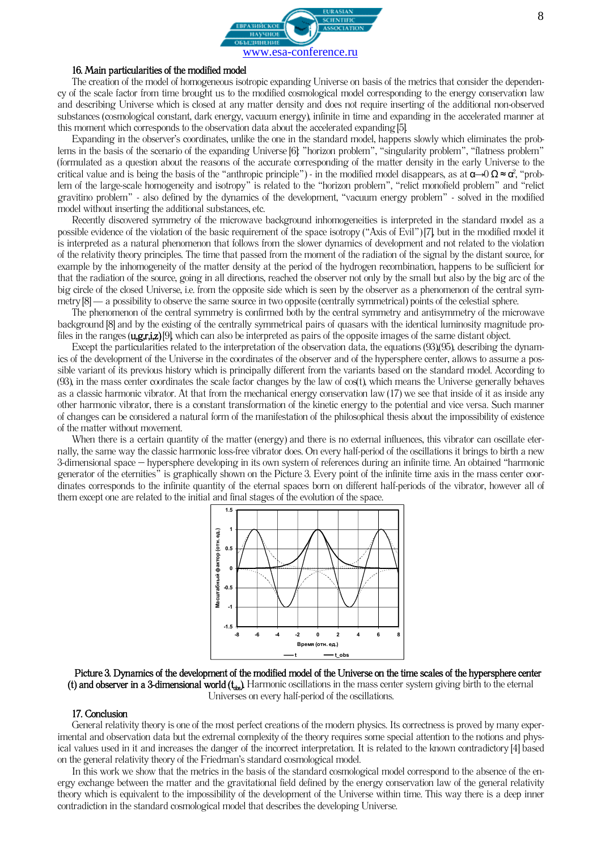

### 16. Main particularities of the modified model

The creation of the model of homogeneous isotropic expanding Universe on basis of the metrics that consider the dependency of the scale factor from time brought us to the modified cosmological model corresponding to the energy conservation law and describing Universe which is closed at any matter density and does not require inserting of the additional non-observed substances (cosmological constant, dark energy, vacuum energy), infinite in time and expanding in the accelerated manner at this moment which corresponds to the observation data about the accelerated expanding [5].

Expanding in the observer's coordinates, unlike the one in the standard model, happens slowly which eliminates the problems in the basis of the scenario of the expanding Universe [6]: "horizon problem", "singularity problem", "flatness problem" (formulated as a question about the reasons of the accurate corresponding of the matter density in the early Universe to the critical value and is being the basis of the "anthropic principle") - in the modified model disappears, as at  $\alpha \!\!\to\!\! 0$  Ω ≈  $\alpha$ °, "problem of the large-scale homogeneity and isotropy" is related to the "horizon problem", "relict monofield problem" and "relict gravitino problem" - also defined by the dynamics of the development, "vacuum energy problem" - solved in the modified model without inserting the additional substances, etc.

Recently discovered symmetry of the microwave background inhomogeneities is interpreted in the standard model as a possible evidence of the violation of the basic requirement of the space isotropy ("Axis of Evil") [7], but in the modified model it is interpreted as a natural phenomenon that follows from the slower dynamics of development and not related to the violation of the relativity theory principles. The time that passed from the moment of the radiation of the signal by the distant source, for example by the inhomogeneity of the matter density at the period of the hydrogen recombination, happens to be sufficient for that the radiation of the source, going in all directions, reached the observer not only by the small but also by the big arc of the big circle of the closed Universe, i.e. from the opposite side which is seen by the observer as a phenomenon of the central symmetry  $[8]$  — a possibility to observe the same source in two opposite (centrally symmetrical) points of the celestial sphere.

The phenomenon of the central symmetry is confirmed both by the central symmetry and antisymmetry of the microwave background [8] and by the existing of the centrally symmetrical pairs of quasars with the identical luminosity magnitude profiles in the ranges  $(u, g, r, i, z)$ [9], which can also be interpreted as pairs of the opposite images of the same distant object.

Except the particularities related to the interpretation of the observation data, the equations (93),(95), describing the dynamics of the development of the Universe in the coordinates of the observer and of the hypersphere center, allows to assume a possible variant of its previous history which is principally different from the variants based on the standard model. According to  $(93)$ , in the mass center coordinates the scale factor changes by the law of  $\cos(t)$ , which means the Universe generally behaves as a classic harmonic vibrator. At that from the mechanical energy conservation law (17) we see that inside of it as inside any other harmonic vibrator, there is a constant transformation of the kinetic energy to the potential and vice versa. Such manner of changes can be considered a natural form of the manifestation of the philosophical thesis about the impossibility of existence of the matter without movement.

When there is a certain quantity of the matter (energy) and there is no external influences, this vibrator can oscillate eternally, the same way the classic harmonic loss-free vibrator does. On every half-period of the oscillations it brings to birth a new 3-dimensional space – hypersphere developing in its own system of references during an infinite time. An obtained "harmonic generator of the eternities" is graphically shown on the Picture 3. Every point of the infinite time axis in the mass center coordinates corresponds to the infinite quantity of the eternal spaces born on different half-periods of the vibrator, however all of them except one are related to the initial and final stages of the evolution of the space.



Picture 3. Dynamics of the development of the modified model of the Universe on the time scales of the hypersphere center (t) and observer in a 3-dimensional world  $(t_{\rm trs})$ . Harmonic oscillations in the mass center system giving birth to the eternal Universes on every half-period of the oscillations.

### 17. Conclusion

General relativity theory is one of the most perfect creations of the modern physics. Its correctness is proved by many experimental and observation data but the extremal complexity of the theory requires some special attention to the notions and physical values used in it and increases the danger of the incorrect interpretation. It is related to the known contradictory [4] based on the general relativity theory of the Friedman's standard cosmological model.

In this work we show that the metrics in the basis of the standard cosmological model correspond to the absence of the energy exchange between the matter and the gravitational field defined by the energy conservation law of the general relativity theory which is equivalent to the impossibility of the development of the Universe within time. This way there is a deep inner contradiction in the standard cosmological model that describes the developing Universe.